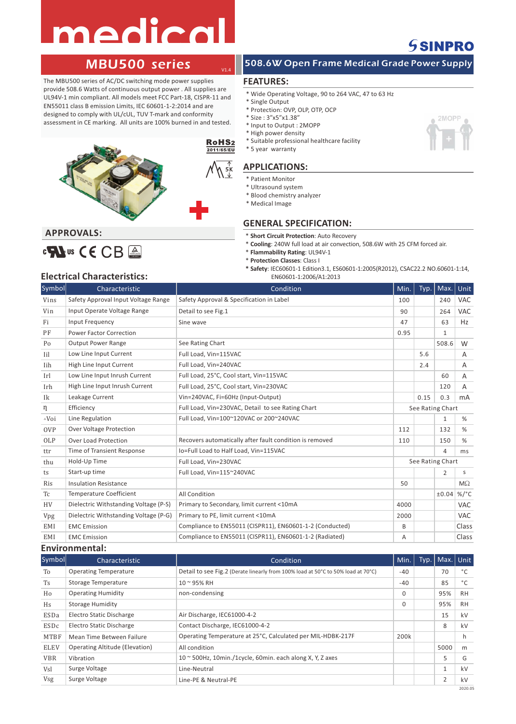# medica



The MBU500 series of AC/DC switching mode power supplies provide 508.6 Watts of continuous output power . All supplies are UL94V-1 min compliant. All models meet FCC Part-18, CISPR-11 and EN55011 class B emission Limits, IEC 60601-1-2:2014 and are designed to comply with UL/cUL, TUV T-mark and conformity assessment in CE marking. All units are 100% burned in and tested.



## 508.6W Open Frame Medical Grade Power Supply

## **FEATURES:**

V1.4

- \* Wide Operating Voltage, 90 to 264 VAC, 47 to 63 Hz
- \* Single Output
- \* Protection: OVP, OLP, OTP, OCP
- \* Size : 3"x5"x1.38"
- \* Input to Output : 2MOPP
- \* High power density
- \* Suitable professional healthcare facility \* 5 year warranty

## **APPLICATIONS:**

- \* Patient Monitor
- \* Ultrasound system
- \* Blood chemistry analyzer
- \* Medical Image
- 

## **GENERAL SPECIFICATION:**

- \* **Short Circuit Protection**: Auto Recovery
- \* **Cooling**: 240W full load at air convection, 508.6W with 25 CFM forced air.
- \* **Flammability Rating**: UL94V-1
- \* **Protection Classes**: Class I
- **\* Safety**: IEC60601-1 Edition3.1, ES60601-1:2005(R2012), CSAC22.2 NO.60601-1:14, EN60601-1:2006/A1:2013

## **Electrical Characteristics:**

CM us CE CB A

**APPROVALS:** 

| Symbol           | Characteristic                        | Condition                                                | Min. | Typ. | Max.             | <b>Unit</b> |
|------------------|---------------------------------------|----------------------------------------------------------|------|------|------------------|-------------|
| Vins             | Safety Approval Input Voltage Range   | Safety Approval & Specification in Label                 | 100  |      | 240              | <b>VAC</b>  |
| Vin              | Input Operate Voltage Range           | Detail to see Fig.1                                      | 90   |      | 264              | <b>VAC</b>  |
| Fi               | Input Frequency                       | Sine wave                                                | 47   |      | 63               | Hz          |
| PF               | <b>Power Factor Correction</b>        |                                                          | 0.95 |      | $\mathbf{1}$     |             |
| Po               | <b>Output Power Range</b>             | See Rating Chart                                         |      |      | 508.6            | W           |
| Iil              | Low Line Input Current                | Full Load, Vin=115VAC                                    |      | 5.6  |                  | Α           |
| Iih              | High Line Input Current               | Full Load, Vin=240VAC                                    |      | 2.4  |                  | Α           |
| Irl              | Low Line Input Inrush Current         | Full Load, 25°C, Cool start, Vin=115VAC                  |      |      | 60               | A           |
| Irh              | High Line Input Inrush Current        | Full Load, 25°C, Cool start, Vin=230VAC                  |      |      | 120              | A           |
| Ik               | Leakage Current                       | Vin=240VAC, Fi=60Hz (Input-Output)                       |      | 0.15 | 0.3              | mA          |
| η                | Efficiency                            | Full Load, Vin=230VAC, Detail to see Rating Chart        |      |      | See Rating Chart |             |
| $\triangle V$ oi | Line Regulation                       | Full Load, Vin=100~120VAC or 200~240VAC                  |      |      | $\mathbf{1}$     | %           |
| <b>OVP</b>       | <b>Over Voltage Protection</b>        |                                                          | 112  |      | 132              | %           |
| OLP              | <b>Over Load Protection</b>           | Recovers automatically after fault condition is removed  | 110  |      | 150              | %           |
| ttr              | Time of Transient Response            | Io=Full Load to Half Load, Vin=115VAC                    |      |      | $\overline{4}$   | ms          |
| thu              | Hold-Up Time                          | Full Load, Vin=230VAC                                    |      |      | See Rating Chart |             |
| ts               | Start-up time                         | Full Load, Vin=115~240VAC                                |      |      | $\overline{2}$   | S           |
| Ris              | <b>Insulation Resistance</b>          |                                                          | 50   |      |                  | $M\Omega$   |
| Tc               | <b>Temperature Coefficient</b>        | All Condition                                            |      |      | ±0.04            | $\%$ /°C    |
| <b>HV</b>        | Dielectric Withstanding Voltage (P-S) | Primary to Secondary, limit current <10mA                | 4000 |      |                  | <b>VAC</b>  |
| Vpg              | Dielectric Withstanding Voltage (P-G) | Primary to PE, limit current <10mA                       | 2000 |      |                  | <b>VAC</b>  |
| EMI              | <b>EMC</b> Emission                   | Compliance to EN55011 (CISPR11), EN60601-1-2 (Conducted) | B    |      |                  | Class       |
| EMI              | <b>EMC</b> Emission                   | Compliance to EN55011 (CISPR11), EN60601-1-2 (Radiated)  | A    |      |                  | Class       |

## **Environmental:**

| Symbol      | Characteristic                        | Condition                                                                        | Min.     | Typ. | Max. Unit    |           |
|-------------|---------------------------------------|----------------------------------------------------------------------------------|----------|------|--------------|-----------|
| To          | <b>Operating Temperature</b>          | Detail to see Fig.2 (Derate linearly from 100% load at 50°C to 50% load at 70°C) | $-40$    |      | 70           | °C        |
| <b>Ts</b>   | Storage Temperature                   | $10 - 95%$ RH                                                                    | $-40$    |      | 85           | °C        |
| Ho          | <b>Operating Humidity</b>             | non-condensing                                                                   | $\Omega$ |      | 95%          | <b>RH</b> |
| Hs          | <b>Storage Humidity</b>               |                                                                                  | $\Omega$ |      | 95%          | <b>RH</b> |
| ESDa        | Electro Static Discharge              | Air Discharge, IEC61000-4-2                                                      |          |      | 15           | kV        |
| ESDc        | Electro Static Discharge              | Contact Discharge, IEC61000-4-2                                                  |          |      | 8            | kV        |
| <b>MTBF</b> | Mean Time Between Failure             | Operating Temperature at 25°C, Calculated per MIL-HDBK-217F                      | 200k     |      |              | h.        |
| ELEV        | <b>Operating Altitude (Elevation)</b> | All condition                                                                    |          |      | 5000         | m         |
| <b>VBR</b>  | Vibration                             | $10 \approx 500$ Hz, 10min./1cycle, 60min. each along X, Y, Z axes               |          |      | 5            | G         |
| Vsl         | Surge Voltage                         | Line-Neutral                                                                     |          |      | $\mathbf{1}$ | kV        |
| Vsg         | Surge Voltage                         | Line-PE & Neutral-PE                                                             |          |      | 2            | kV        |
|             |                                       |                                                                                  |          |      |              | 2020.05   |